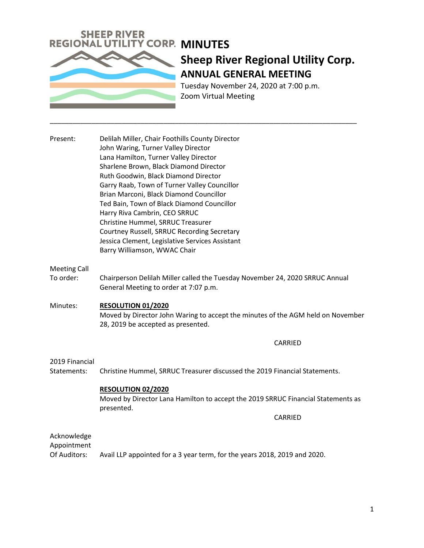

# **Sheep River Regional Utility Corp. ANNUAL GENERAL MEETING**

Tuesday November 24, 2020 at 7:00 p.m. Zoom Virtual Meeting

Present: Delilah Miller, Chair Foothills County Director John Waring, Turner Valley Director Lana Hamilton, Turner Valley Director Sharlene Brown, Black Diamond Director Ruth Goodwin, Black Diamond Director Garry Raab, Town of Turner Valley Councillor Brian Marconi, Black Diamond Councillor Ted Bain, Town of Black Diamond Councillor Harry Riva Cambrin, CEO SRRUC Christine Hummel, SRRUC Treasurer Courtney Russell, SRRUC Recording Secretary Jessica Clement, Legislative Services Assistant Barry Williamson, WWAC Chair

### Meeting Call

To order: Chairperson Delilah Miller called the Tuesday November 24, 2020 SRRUC Annual General Meeting to order at 7:07 p.m.

\_\_\_\_\_\_\_\_\_\_\_\_\_\_\_\_\_\_\_\_\_\_\_\_\_\_\_\_\_\_\_\_\_\_\_\_\_\_\_\_\_\_\_\_\_\_\_\_\_\_\_\_\_\_\_\_\_\_\_\_\_\_\_\_\_\_\_\_\_\_\_\_\_\_\_\_\_\_\_\_\_

Minutes: **RESOLUTION 01/2020** Moved by Director John Waring to accept the minutes of the AGM held on November 28, 2019 be accepted as presented.

#### CARRIED

#### 2019 Financial

Statements: Christine Hummel, SRRUC Treasurer discussed the 2019 Financial Statements.

#### **RESOLUTION 02/2020**

Moved by Director Lana Hamilton to accept the 2019 SRRUC Financial Statements as presented.

CARRIED

## Acknowledge

Appointment

Of Auditors: Avail LLP appointed for a 3 year term, for the years 2018, 2019 and 2020.